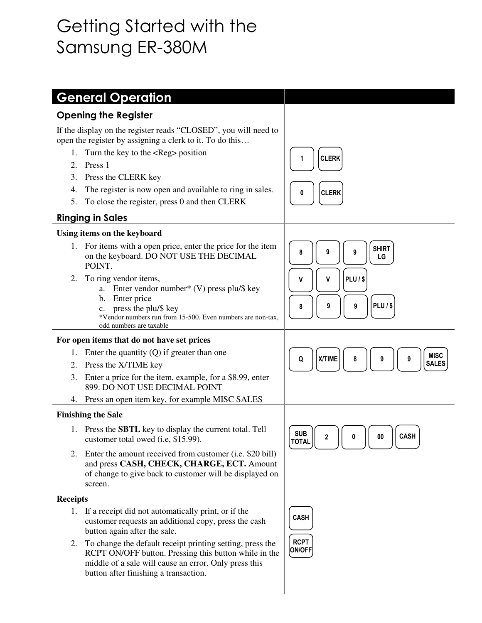# Getting Started with the Samsung ER-380M

|                                                                                                                             | <b>General Operation</b>                                                                                                                                                                                             |                                   |
|-----------------------------------------------------------------------------------------------------------------------------|----------------------------------------------------------------------------------------------------------------------------------------------------------------------------------------------------------------------|-----------------------------------|
|                                                                                                                             |                                                                                                                                                                                                                      |                                   |
| <b>Opening the Register</b>                                                                                                 |                                                                                                                                                                                                                      |                                   |
| If the display on the register reads "CLOSED", you will need to<br>open the register by assigning a clerk to it. To do this |                                                                                                                                                                                                                      |                                   |
| 1.                                                                                                                          | Turn the key to the <reg> position</reg>                                                                                                                                                                             | <b>CLERK</b>                      |
| 2.                                                                                                                          | Press 1                                                                                                                                                                                                              |                                   |
| 3.                                                                                                                          | Press the CLERK key                                                                                                                                                                                                  |                                   |
| 4.                                                                                                                          | The register is now open and available to ring in sales.                                                                                                                                                             | <b>CLERK</b><br>0                 |
| 5.                                                                                                                          | To close the register, press 0 and then CLERK                                                                                                                                                                        |                                   |
| <b>Ringing in Sales</b>                                                                                                     |                                                                                                                                                                                                                      |                                   |
| Using items on the keyboard                                                                                                 |                                                                                                                                                                                                                      |                                   |
| 1.                                                                                                                          | For items with a open price, enter the price for the item<br>on the keyboard. DO NOT USE THE DECIMAL<br>POINT.                                                                                                       | <b>SHIRT</b><br>8<br>9<br>9<br>LG |
| 2.                                                                                                                          | To ring vendor items,<br>a. Enter vendor number* (V) press plu/\$ key<br>b. Enter price                                                                                                                              | <b>PLU/\$</b><br>v<br>v<br>PLU/\$ |
|                                                                                                                             | press the plu/\$ key<br>$c_{\cdot}$<br>*Vendor numbers run from 15-500. Even numbers are non-tax,<br>odd numbers are taxable                                                                                         | 9<br>9<br>8                       |
| For open items that do not have set prices                                                                                  |                                                                                                                                                                                                                      |                                   |
| 1.                                                                                                                          | Enter the quantity $(Q)$ if greater than one                                                                                                                                                                         | <b>MISC</b><br>X/TIME<br>9<br>9   |
| 2.                                                                                                                          | Press the X/TIME key                                                                                                                                                                                                 | Q<br>8<br><b>SALES</b>            |
| 3.                                                                                                                          | Enter a price for the item, example, for a \$8.99, enter<br>899. DO NOT USE DECIMAL POINT                                                                                                                            |                                   |
| 4.                                                                                                                          | Press an open item key, for example MISC SALES                                                                                                                                                                       |                                   |
|                                                                                                                             | <b>Finishing the Sale</b>                                                                                                                                                                                            |                                   |
|                                                                                                                             | 1. Press the <b>SBTL</b> key to display the current total. Tell<br>customer total owed (i.e, \$15.99).                                                                                                               | <b>SUB</b><br>CASH<br>L<br>TOTAL  |
| 2.                                                                                                                          | Enter the amount received from customer (i.e. \$20 bill)<br>and press CASH, CHECK, CHARGE, ECT. Amount<br>of change to give back to customer will be displayed on<br>screen.                                         |                                   |
| <b>Receipts</b>                                                                                                             |                                                                                                                                                                                                                      |                                   |
|                                                                                                                             | 1. If a receipt did not automatically print, or if the<br>customer requests an additional copy, press the cash<br>button again after the sale.                                                                       | <b>CASH</b>                       |
| 2.                                                                                                                          | To change the default receipt printing setting, press the<br>RCPT ON/OFF button. Pressing this button while in the<br>middle of a sale will cause an error. Only press this<br>button after finishing a transaction. | <b>RCPT</b><br><b>ON/OFF</b>      |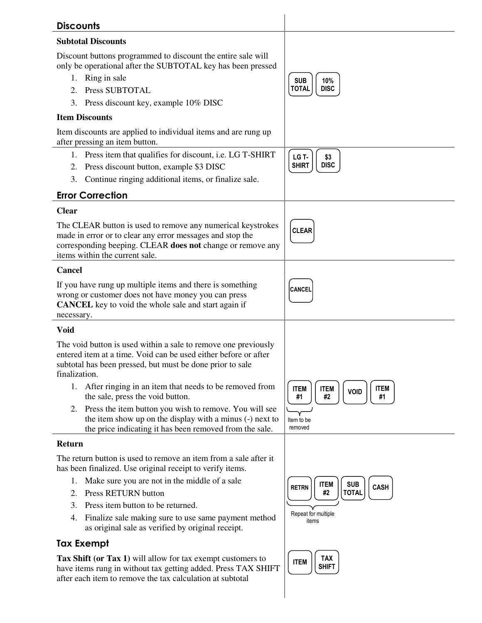| <b>Discounts</b>                                                                                                            |                                                                            |
|-----------------------------------------------------------------------------------------------------------------------------|----------------------------------------------------------------------------|
| <b>Subtotal Discounts</b>                                                                                                   |                                                                            |
| Discount buttons programmed to discount the entire sale will<br>only be operational after the SUBTOTAL key has been pressed |                                                                            |
| 1. Ring in sale                                                                                                             | <b>SUB</b><br>10%                                                          |
| Press SUBTOTAL<br>2.                                                                                                        | <b>TOTAL</b><br><b>DISC</b>                                                |
| Press discount key, example 10% DISC<br>3.                                                                                  |                                                                            |
| <b>Item Discounts</b>                                                                                                       |                                                                            |
| Item discounts are applied to individual items and are rung up<br>after pressing an item button.                            |                                                                            |
| 1. Press item that qualifies for discount, i.e. LG T-SHIRT                                                                  | LG T-<br>\$3                                                               |
| Press discount button, example \$3 DISC<br>2.                                                                               | <b>DISC</b><br><b>SHIRT</b>                                                |
| Continue ringing additional items, or finalize sale.<br>3.                                                                  |                                                                            |
| <b>Error Correction</b>                                                                                                     |                                                                            |
| <b>Clear</b>                                                                                                                |                                                                            |
| The CLEAR button is used to remove any numerical keystrokes                                                                 | <b>CLEAR</b>                                                               |
| made in error or to clear any error messages and stop the<br>corresponding beeping. CLEAR does not change or remove any     |                                                                            |
| items within the current sale.                                                                                              |                                                                            |
| <b>Cancel</b>                                                                                                               |                                                                            |
| If you have rung up multiple items and there is something                                                                   | <b>CANCEL</b>                                                              |
| wrong or customer does not have money you can press<br><b>CANCEL</b> key to void the whole sale and start again if          |                                                                            |
| necessary.                                                                                                                  |                                                                            |
| Void                                                                                                                        |                                                                            |
| The void button is used within a sale to remove one previously                                                              |                                                                            |
| entered item at a time. Void can be used either before or after                                                             |                                                                            |
| subtotal has been pressed, but must be done prior to sale<br>finalization.                                                  |                                                                            |
| 1. After ringing in an item that needs to be removed from<br>the sale, press the void button.                               | <b>ITEM</b><br><b>ITEM</b><br><b>ITEM</b><br><b>VOID</b><br>#1<br>#2<br>#1 |
| 2. Press the item button you wish to remove. You will see                                                                   |                                                                            |
| the item show up on the display with a minus (-) next to<br>the price indicating it has been removed from the sale.         | Item to be<br>removed                                                      |
| Return                                                                                                                      |                                                                            |
| The return button is used to remove an item from a sale after it                                                            |                                                                            |
| has been finalized. Use original receipt to verify items.                                                                   |                                                                            |
| Make sure you are not in the middle of a sale<br>1.                                                                         | <b>SUB</b><br><b>ITEM</b>                                                  |
| <b>Press RETURN button</b><br>2.                                                                                            | <b>CASH</b><br><b>RETRN</b><br><b>TOTAL</b><br>#2                          |
| Press item button to be returned.<br>3.                                                                                     |                                                                            |
| Finalize sale making sure to use same payment method<br>4.<br>as original sale as verified by original receipt.             | Repeat for multiple<br>items                                               |
| <b>Tax Exempt</b>                                                                                                           |                                                                            |
| Tax Shift (or Tax 1) will allow for tax exempt customers to                                                                 | TAX<br><b>ITEM</b>                                                         |
| have items rung in without tax getting added. Press TAX SHIFT                                                               | <b>SHIFT</b>                                                               |
| after each item to remove the tax calculation at subtotal                                                                   |                                                                            |
|                                                                                                                             |                                                                            |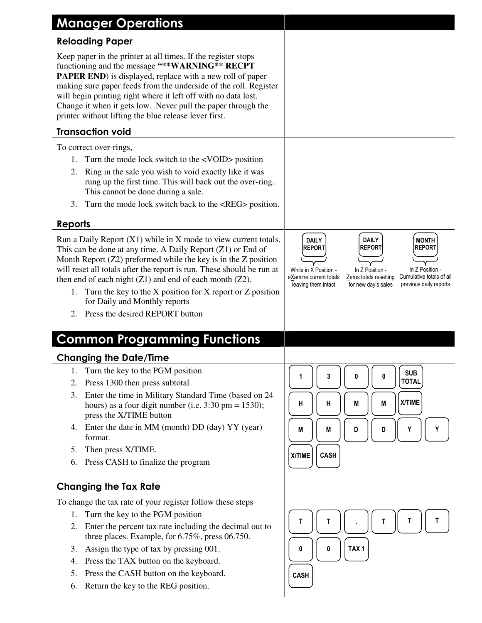| <b>Manager Operations</b>                                                                                                                                                                                                                                                                                                                                                                                                                                                                  |                                                                                                                                                                                                                                                                                                                        |
|--------------------------------------------------------------------------------------------------------------------------------------------------------------------------------------------------------------------------------------------------------------------------------------------------------------------------------------------------------------------------------------------------------------------------------------------------------------------------------------------|------------------------------------------------------------------------------------------------------------------------------------------------------------------------------------------------------------------------------------------------------------------------------------------------------------------------|
| <b>Reloading Paper</b>                                                                                                                                                                                                                                                                                                                                                                                                                                                                     |                                                                                                                                                                                                                                                                                                                        |
| Keep paper in the printer at all times. If the register stops<br>functioning and the message "** WARNING ** RECPT<br><b>PAPER END</b> ) is displayed, replace with a new roll of paper<br>making sure paper feeds from the underside of the roll. Register<br>will begin printing right where it left off with no data lost.<br>Change it when it gets low. Never pull the paper through the<br>printer without lifting the blue release lever first.                                      |                                                                                                                                                                                                                                                                                                                        |
| <b>Transaction void</b>                                                                                                                                                                                                                                                                                                                                                                                                                                                                    |                                                                                                                                                                                                                                                                                                                        |
| To correct over-rings,                                                                                                                                                                                                                                                                                                                                                                                                                                                                     |                                                                                                                                                                                                                                                                                                                        |
| Turn the mode lock switch to the <void> position<br/>1.</void>                                                                                                                                                                                                                                                                                                                                                                                                                             |                                                                                                                                                                                                                                                                                                                        |
| Ring in the sale you wish to void exactly like it was<br>2.<br>rung up the first time. This will back out the over-ring.<br>This cannot be done during a sale.                                                                                                                                                                                                                                                                                                                             |                                                                                                                                                                                                                                                                                                                        |
| Turn the mode lock switch back to the <reg> position.<br/>3.</reg>                                                                                                                                                                                                                                                                                                                                                                                                                         |                                                                                                                                                                                                                                                                                                                        |
| <b>Reports</b>                                                                                                                                                                                                                                                                                                                                                                                                                                                                             |                                                                                                                                                                                                                                                                                                                        |
| Run a Daily Report (X1) while in X mode to view current totals.<br>This can be done at any time. A Daily Report $(Z1)$ or End of<br>Month Report $(Z2)$ preformed while the key is in the Z position<br>will reset all totals after the report is run. These should be run at<br>then end of each night $(Z1)$ and end of each month $(Z2)$ .<br>Turn the key to the X position for X report or Z position<br>1.<br>for Daily and Monthly reports<br>Press the desired REPORT button<br>2. | <b>DAILY</b><br><b>MONTH</b><br><b>DAILY</b><br><b>REPORT</b><br><b>REPORT</b><br><b>REPORT</b><br>In Z Position -<br>While in X Position -<br>In Z Position -<br>Cumulative totals of all<br>Zeros totals resetting<br>eXamine current totals<br>previous daily reports<br>for new day's sales<br>leaving them intact |
| <b>Common Programming Functions</b>                                                                                                                                                                                                                                                                                                                                                                                                                                                        |                                                                                                                                                                                                                                                                                                                        |
| <b>Changing the Date/Time</b>                                                                                                                                                                                                                                                                                                                                                                                                                                                              |                                                                                                                                                                                                                                                                                                                        |
| Turn the key to the PGM position<br>1.                                                                                                                                                                                                                                                                                                                                                                                                                                                     | <b>SUB</b><br>3<br>1<br>0<br>0                                                                                                                                                                                                                                                                                         |
| Press 1300 then press subtotal<br>2.                                                                                                                                                                                                                                                                                                                                                                                                                                                       | <b>TOTAL</b>                                                                                                                                                                                                                                                                                                           |
| Enter the time in Military Standard Time (based on 24<br>3.<br>hours) as a four digit number (i.e. $3:30 \text{ pm} = 1530$ );<br>press the X/TIME button                                                                                                                                                                                                                                                                                                                                  | X/TIME<br>н<br>M<br>н<br>M                                                                                                                                                                                                                                                                                             |
| Enter the date in MM (month) DD (day) YY (year)<br>4.<br>format.                                                                                                                                                                                                                                                                                                                                                                                                                           | Y<br>Υ<br>M<br>Μ<br>D<br>D                                                                                                                                                                                                                                                                                             |
| Then press X/TIME.<br>5.                                                                                                                                                                                                                                                                                                                                                                                                                                                                   | <b>CASH</b><br>X/TIME                                                                                                                                                                                                                                                                                                  |
| Press CASH to finalize the program<br>6.                                                                                                                                                                                                                                                                                                                                                                                                                                                   |                                                                                                                                                                                                                                                                                                                        |
| <b>Changing the Tax Rate</b>                                                                                                                                                                                                                                                                                                                                                                                                                                                               |                                                                                                                                                                                                                                                                                                                        |
| To change the tax rate of your register follow these steps                                                                                                                                                                                                                                                                                                                                                                                                                                 |                                                                                                                                                                                                                                                                                                                        |
| 1. Turn the key to the PGM position                                                                                                                                                                                                                                                                                                                                                                                                                                                        |                                                                                                                                                                                                                                                                                                                        |
| Enter the percent tax rate including the decimal out to<br>2.<br>three places. Example, for 6.75%, press 06.750.                                                                                                                                                                                                                                                                                                                                                                           | т<br>Т<br>т<br>Τ<br>Τ                                                                                                                                                                                                                                                                                                  |
| Assign the type of tax by pressing 001.<br>3.                                                                                                                                                                                                                                                                                                                                                                                                                                              | TAX <sub>1</sub><br>0<br>0                                                                                                                                                                                                                                                                                             |
| Press the TAX button on the keyboard.<br>4.                                                                                                                                                                                                                                                                                                                                                                                                                                                |                                                                                                                                                                                                                                                                                                                        |
| Press the CASH button on the keyboard.<br>5.                                                                                                                                                                                                                                                                                                                                                                                                                                               | <b>CASH</b>                                                                                                                                                                                                                                                                                                            |
| Return the key to the REG position.<br>6.                                                                                                                                                                                                                                                                                                                                                                                                                                                  |                                                                                                                                                                                                                                                                                                                        |